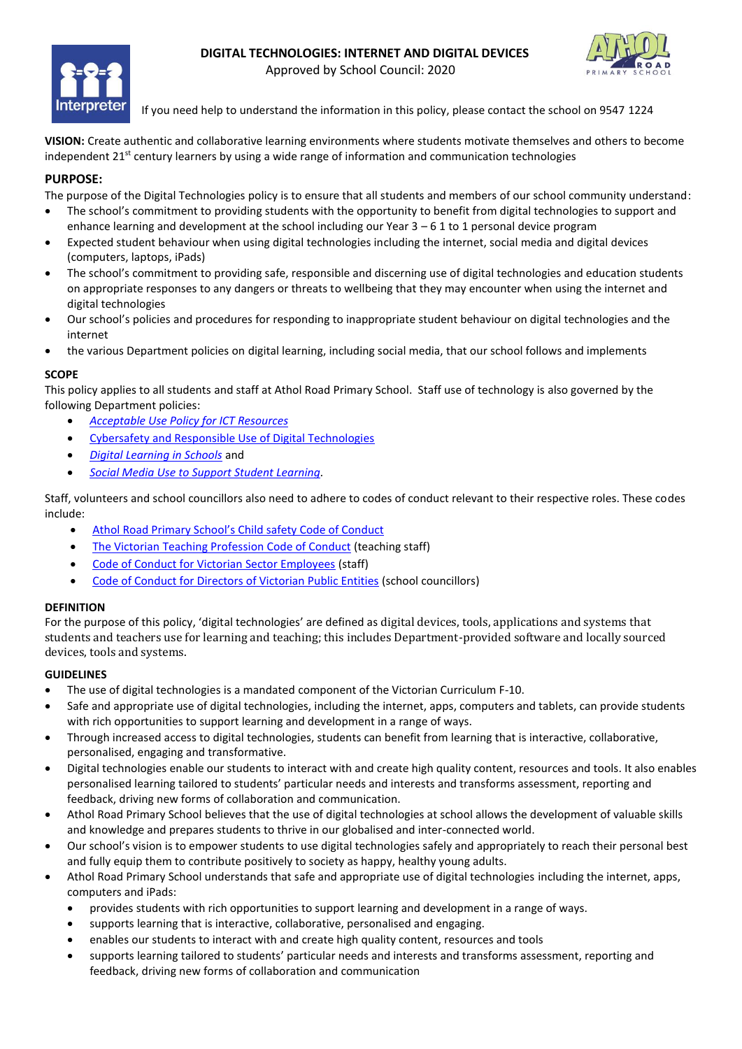



Approved by School Council: 2020

If you need help to understand the information in this policy, please contact the school on 9547 1224

**VISION:** Create authentic and collaborative learning environments where students motivate themselves and others to become independent  $21<sup>st</sup>$  century learners by using a wide range of information and communication technologies

# **PURPOSE:**

The purpose of the Digital Technologies policy is to ensure that all students and members of our school community understand:

- The school's commitment to providing students with the opportunity to benefit from digital technologies to support and enhance learning and development at the school including our Year  $3 - 61$  to 1 personal device program
- Expected student behaviour when using digital technologies including the internet, social media and digital devices (computers, laptops, iPads)
- The school's commitment to providing safe, responsible and discerning use of digital technologies and education students on appropriate responses to any dangers or threats to wellbeing that they may encounter when using the internet and digital technologies
- Our school's policies and procedures for responding to inappropriate student behaviour on digital technologies and the internet
- the various Department policies on digital learning, including social media, that our school follows and implements

## **SCOPE**

This policy applies to all students and staff at Athol Road Primary School. Staff use of technology is also governed by the following Department policies:

- *Acceptable Use Policy for ICT Resources*
- Cybersafety and Responsible Use of Digital Technologies
- *Digital Learning in Schools* and
- *Social Media Use to Support Student Learning.*

Staff, volunteers and school councillors also need to adhere to codes of conduct relevant to their respective roles. These codes include:

- Athol Road Primary School's Child safety Code of Conduct
- The Victorian Teaching Profession Code of Conduct (teaching staff)
- Code of Conduct for Victorian Sector Employees (staff)
- Code of Conduct for Directors of Victorian Public Entities (school councillors)

## **DEFINITION**

For the purpose of this policy, 'digital technologies' are defined as digital devices, tools, applications and systems that students and teachers use for learning and teaching; this includes Department-provided software and locally sourced devices, tools and systems.

## **GUIDELINES**

- The use of digital technologies is a mandated component of the Victorian Curriculum F-10.
- Safe and appropriate use of digital technologies, including the internet, apps, computers and tablets, can provide students with rich opportunities to support learning and development in a range of ways.
- Through increased access to digital technologies, students can benefit from learning that is interactive, collaborative, personalised, engaging and transformative.
- Digital technologies enable our students to interact with and create high quality content, resources and tools. It also enables personalised learning tailored to students' particular needs and interests and transforms assessment, reporting and feedback, driving new forms of collaboration and communication.
- Athol Road Primary School believes that the use of digital technologies at school allows the development of valuable skills and knowledge and prepares students to thrive in our globalised and inter-connected world.
- Our school's vision is to empower students to use digital technologies safely and appropriately to reach their personal best and fully equip them to contribute positively to society as happy, healthy young adults.
- Athol Road Primary School understands that safe and appropriate use of digital technologies including the internet, apps, computers and iPads:
	- provides students with rich opportunities to support learning and development in a range of ways.
	- supports learning that is interactive, collaborative, personalised and engaging.
	- enables our students to interact with and create high quality content, resources and tools
	- supports learning tailored to students' particular needs and interests and transforms assessment, reporting and feedback, driving new forms of collaboration and communication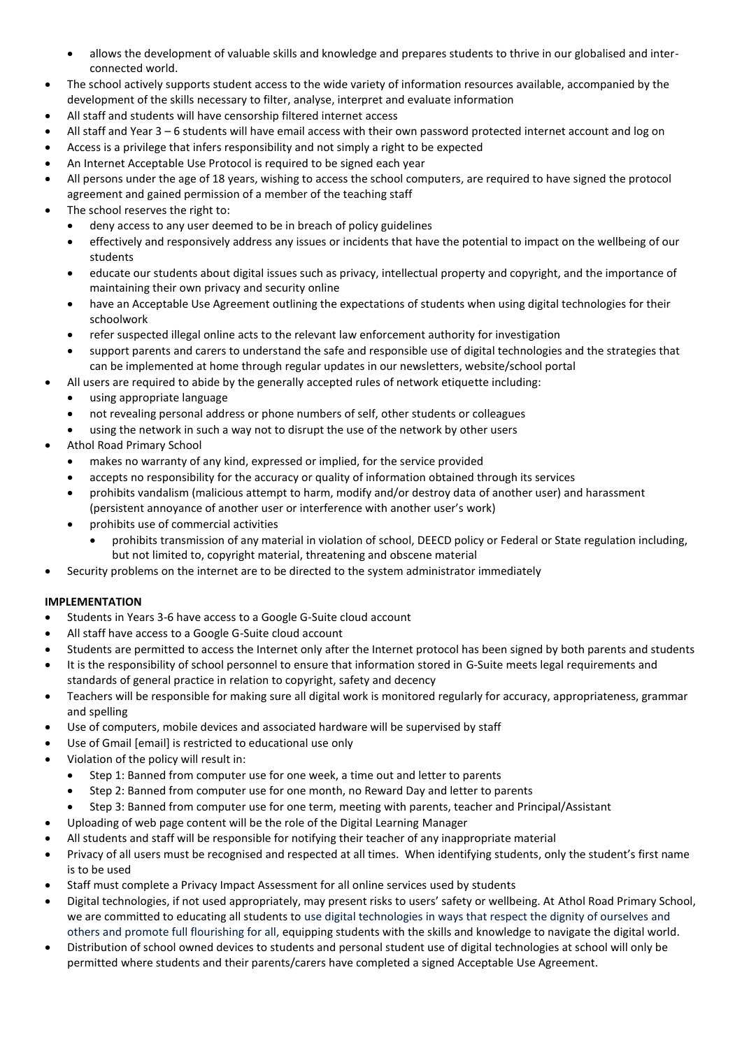- allows the development of valuable skills and knowledge and prepares students to thrive in our globalised and interconnected world.
- The school actively supports student access to the wide variety of information resources available, accompanied by the development of the skills necessary to filter, analyse, interpret and evaluate information
- All staff and students will have censorship filtered internet access
- All staff and Year 3 6 students will have email access with their own password protected internet account and log on
- Access is a privilege that infers responsibility and not simply a right to be expected
- An Internet Acceptable Use Protocol is required to be signed each year
- All persons under the age of 18 years, wishing to access the school computers, are required to have signed the protocol agreement and gained permission of a member of the teaching staff
- The school reserves the right to:
	- deny access to any user deemed to be in breach of policy guidelines
	- effectively and responsively address any issues or incidents that have the potential to impact on the wellbeing of our students
	- educate our students about digital issues such as privacy, intellectual property and copyright, and the importance of maintaining their own privacy and security online
	- have an Acceptable Use Agreement outlining the expectations of students when using digital technologies for their schoolwork
	- refer suspected illegal online acts to the relevant law enforcement authority for investigation
	- support parents and carers to understand the safe and responsible use of digital technologies and the strategies that can be implemented at home through regular updates in our newsletters, website/school portal
- All users are required to abide by the generally accepted rules of network etiquette including:
	- using appropriate language
	- not revealing personal address or phone numbers of self, other students or colleagues
	- using the network in such a way not to disrupt the use of the network by other users
- Athol Road Primary School
	- makes no warranty of any kind, expressed or implied, for the service provided
	- accepts no responsibility for the accuracy or quality of information obtained through its services
	- prohibits vandalism (malicious attempt to harm, modify and/or destroy data of another user) and harassment (persistent annoyance of another user or interference with another user's work)
	- prohibits use of commercial activities
		- prohibits transmission of any material in violation of school, DEECD policy or Federal or State regulation including, but not limited to, copyright material, threatening and obscene material
- Security problems on the internet are to be directed to the system administrator immediately

## **IMPLEMENTATION**

- Students in Years 3-6 have access to a Google G-Suite cloud account
- All staff have access to a Google G-Suite cloud account
- Students are permitted to access the Internet only after the Internet protocol has been signed by both parents and students
- It is the responsibility of school personnel to ensure that information stored in G-Suite meets legal requirements and standards of general practice in relation to copyright, safety and decency
- Teachers will be responsible for making sure all digital work is monitored regularly for accuracy, appropriateness, grammar and spelling
- Use of computers, mobile devices and associated hardware will be supervised by staff
- Use of Gmail [email] is restricted to educational use only
- Violation of the policy will result in:
	- Step 1: Banned from computer use for one week, a time out and letter to parents
	- Step 2: Banned from computer use for one month, no Reward Day and letter to parents
	- Step 3: Banned from computer use for one term, meeting with parents, teacher and Principal/Assistant
	- Uploading of web page content will be the role of the Digital Learning Manager
- All students and staff will be responsible for notifying their teacher of any inappropriate material
- Privacy of all users must be recognised and respected at all times. When identifying students, only the student's first name is to be used
- Staff must complete a Privacy Impact Assessment for all online services used by students
- Digital technologies, if not used appropriately, may present risks to users' safety or wellbeing. At Athol Road Primary School, we are committed to educating all students to use digital technologies in ways that respect the dignity of ourselves and others and promote full flourishing for all, equipping students with the skills and knowledge to navigate the digital world.
- Distribution of school owned devices to students and personal student use of digital technologies at school will only be permitted where students and their parents/carers have completed a signed Acceptable Use Agreement.